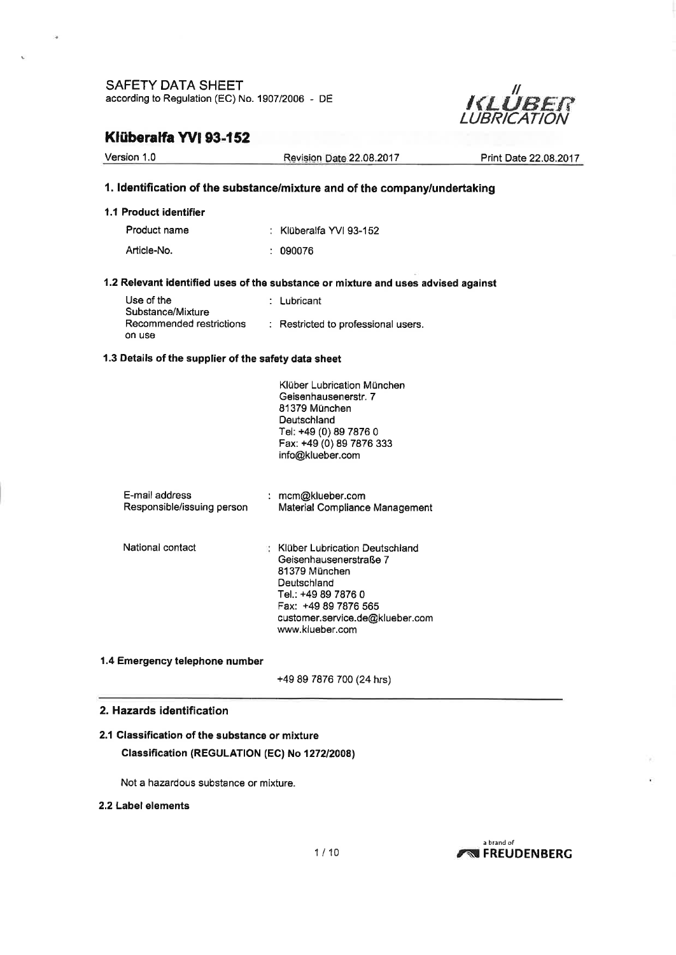

### Klüberalfa YVI 93-152

.<br>Fø

| Version 1.0                                             | Revision Date 22.08.2017                                                                                                                                                                        | Print Date 22.08.2017 |
|---------------------------------------------------------|-------------------------------------------------------------------------------------------------------------------------------------------------------------------------------------------------|-----------------------|
|                                                         | 1. Identification of the substance/mixture and of the company/undertaking                                                                                                                       |                       |
| 1.1 Product identifier                                  |                                                                                                                                                                                                 |                       |
| Product name                                            | : Klüberalfa YVI 93-152                                                                                                                                                                         |                       |
| Article-No.                                             | : 090076                                                                                                                                                                                        |                       |
|                                                         | 1.2 Relevant identified uses of the substance or mixture and uses advised against                                                                                                               |                       |
| Use of the                                              | : Lubricant                                                                                                                                                                                     |                       |
| Substance/Mixture<br>Recommended restrictions<br>on use | : Restricted to professional users.                                                                                                                                                             |                       |
| 1.3 Details of the supplier of the safety data sheet    |                                                                                                                                                                                                 |                       |
|                                                         | Klüber Lubrication München<br>Geisenhausenerstr. 7<br>81379 München<br>Deutschland<br>Tel: +49 (0) 89 7876 0<br>Fax: +49 (0) 89 7876 333<br>info@klueber.com                                    |                       |
| E-mail address<br>Responsible/issuing person            | : mcm@klueber.com<br>Material Compliance Management                                                                                                                                             |                       |
| National contact                                        | : Klüber Lubrication Deutschland<br>Geisenhausenerstraße 7<br>81379 München<br>Deutschland<br>Tel.: +49 89 7876 0<br>Fax: +49 89 7876 565<br>customer.service.de@klueber.com<br>www.klueber.com |                       |
| 1.4 Emergency telephone number                          |                                                                                                                                                                                                 |                       |
|                                                         | +49 89 7876 700 (24 hrs)                                                                                                                                                                        |                       |

#### 2. Hazards identification

### 2.1 Classification of the substance or mixture Classification (REGULATION (EC) No 1272/2008)

Not a hazardous substance or mixture.

### 2,2 Label elements

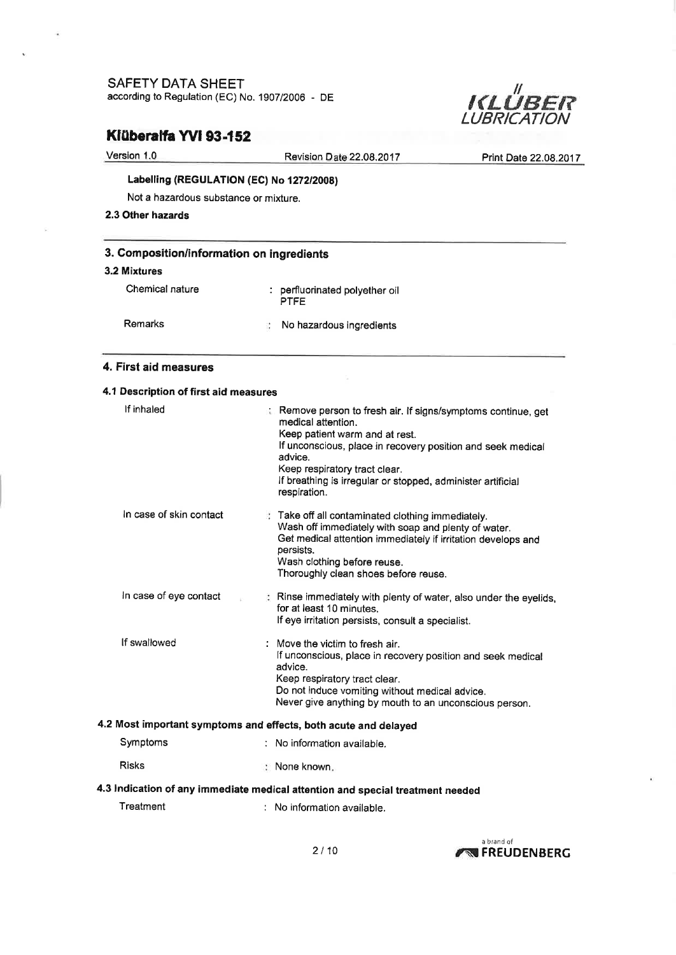

# Klüberalfa YVI 93-152

| Version 1.0                               | Revision Date 22,08,2017                 | Print Date 22,08,2017 |  |  |  |  |
|-------------------------------------------|------------------------------------------|-----------------------|--|--|--|--|
|                                           | Labelling (REGULATION (EC) No 1272/2008) |                       |  |  |  |  |
| Not a hazardous substance or mixture.     |                                          |                       |  |  |  |  |
| 2.3 Other hazards                         |                                          |                       |  |  |  |  |
| 3. Composition/information on ingredients |                                          |                       |  |  |  |  |

### 3.2 Mixtures

í,

| Chemical nature | : perfluorinated polyether oil<br><b>PTFF</b> |
|-----------------|-----------------------------------------------|
| Remarks         | No hazardous incredients                      |

### 4. First aid measures

| 4.1 Description of first aid measures                                          |                                                                                                                                                                                                                                                                                                                 |  |  |  |  |
|--------------------------------------------------------------------------------|-----------------------------------------------------------------------------------------------------------------------------------------------------------------------------------------------------------------------------------------------------------------------------------------------------------------|--|--|--|--|
| If inhaled                                                                     | : Remove person to fresh air. If signs/symptoms continue, get<br>medical attention.<br>Keep patient warm and at rest.<br>If unconscious, place in recovery position and seek medical<br>advice.<br>Keep respiratory tract clear.<br>If breathing is irregular or stopped, administer artificial<br>respiration. |  |  |  |  |
| In case of skin contact                                                        | Take off all contaminated clothing immediately.<br>Wash off immediately with soap and plenty of water.<br>Get medical attention immediately if irritation develops and<br>persists.<br>Wash clothing before reuse.<br>Thoroughly clean shoes before reuse.                                                      |  |  |  |  |
| In case of eye contact                                                         | : Rinse immediately with plenty of water, also under the eyelids,<br>for at least 10 minutes.<br>If eye irritation persists, consult a specialist.                                                                                                                                                              |  |  |  |  |
| If swallowed                                                                   | : Move the victim to fresh air.<br>If unconscious, place in recovery position and seek medical<br>advice.<br>Keep respiratory tract clear.<br>Do not induce vomiting without medical advice.<br>Never give anything by mouth to an unconscious person.                                                          |  |  |  |  |
| 4.2 Most important symptoms and effects, both acute and delayed                |                                                                                                                                                                                                                                                                                                                 |  |  |  |  |
| Symptoms                                                                       | : No information available.                                                                                                                                                                                                                                                                                     |  |  |  |  |
| <b>Risks</b>                                                                   | : None known.                                                                                                                                                                                                                                                                                                   |  |  |  |  |
| 4.3 Indication of any immediate medical attention and special treatment needed |                                                                                                                                                                                                                                                                                                                 |  |  |  |  |
| Treatment                                                                      | : No information available.                                                                                                                                                                                                                                                                                     |  |  |  |  |

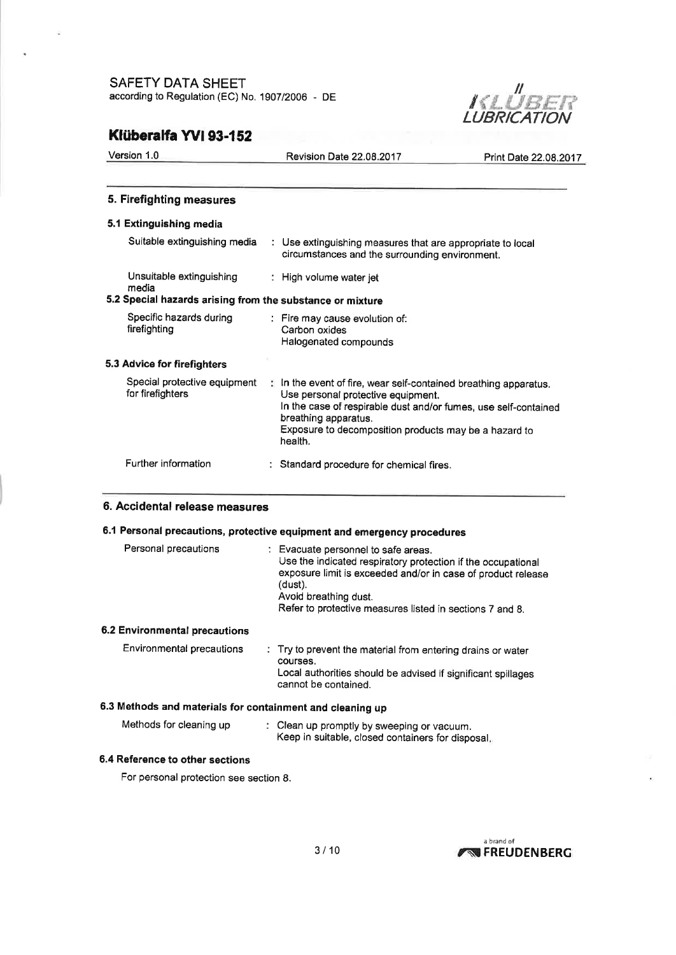

# Klüberalfa Wl 93-152

| Version 1.0 | Revision |
|-------------|----------|
|             |          |
|             |          |

n Date 22.08.2017 Print Date 22.08.2017

### 5. Firefighting measures

### 5.1 Extinguishing media

| Suitable extinguishing media                              | : Use extinguishing measures that are appropriate to local<br>circumstances and the surrounding environment.                                                                                                                                                                   |
|-----------------------------------------------------------|--------------------------------------------------------------------------------------------------------------------------------------------------------------------------------------------------------------------------------------------------------------------------------|
| Unsuitable extinguishing<br>media                         | : High volume water jet                                                                                                                                                                                                                                                        |
| 5.2 Special hazards arising from the substance or mixture |                                                                                                                                                                                                                                                                                |
| Specific hazards during<br>firefighting                   | : Fire may cause evolution of:<br>Carbon oxides<br>Halogenated compounds                                                                                                                                                                                                       |
| 5.3 Advice for firefighters                               |                                                                                                                                                                                                                                                                                |
| Special protective equipment<br>for firefighters          | $\uparrow$ In the event of fire, wear self-contained breathing apparatus.<br>Use personal protective equipment.<br>In the case of respirable dust and/or fumes, use self-contained<br>breathing apparatus.<br>Exposure to decomposition products may be a hazard to<br>health. |
| Further information                                       | : Standard procedure for chemical fires.                                                                                                                                                                                                                                       |

### 6. Accidental release measures

### 6.1 Personal precautions, protective equipment and emergency procedures

| Personal precautions                                      |  | : Evacuate personnel to safe areas.<br>Use the indicated respiratory protection if the occupational<br>exposure limit is exceeded and/or in case of product release<br>(dust).<br>Avoid breathing dust.<br>Refer to protective measures listed in sections 7 and 8. |  |  |
|-----------------------------------------------------------|--|---------------------------------------------------------------------------------------------------------------------------------------------------------------------------------------------------------------------------------------------------------------------|--|--|
| 6.2 Environmental precautions                             |  |                                                                                                                                                                                                                                                                     |  |  |
| Environmental precautions                                 |  | : Try to prevent the material from entering drains or water<br>courses.<br>Local authorities should be advised if significant spillages<br>cannot be contained.                                                                                                     |  |  |
| 6.3 Methods and materials for containment and cleaning up |  |                                                                                                                                                                                                                                                                     |  |  |

| Methods for cleaning up |  | : Clean up promptly by sweeping or vacuum.<br>Keep in suitable, closed containers for disposal, |
|-------------------------|--|-------------------------------------------------------------------------------------------------|
|-------------------------|--|-------------------------------------------------------------------------------------------------|

### 6.4 Reference to other sections

For personal protection see section 8.

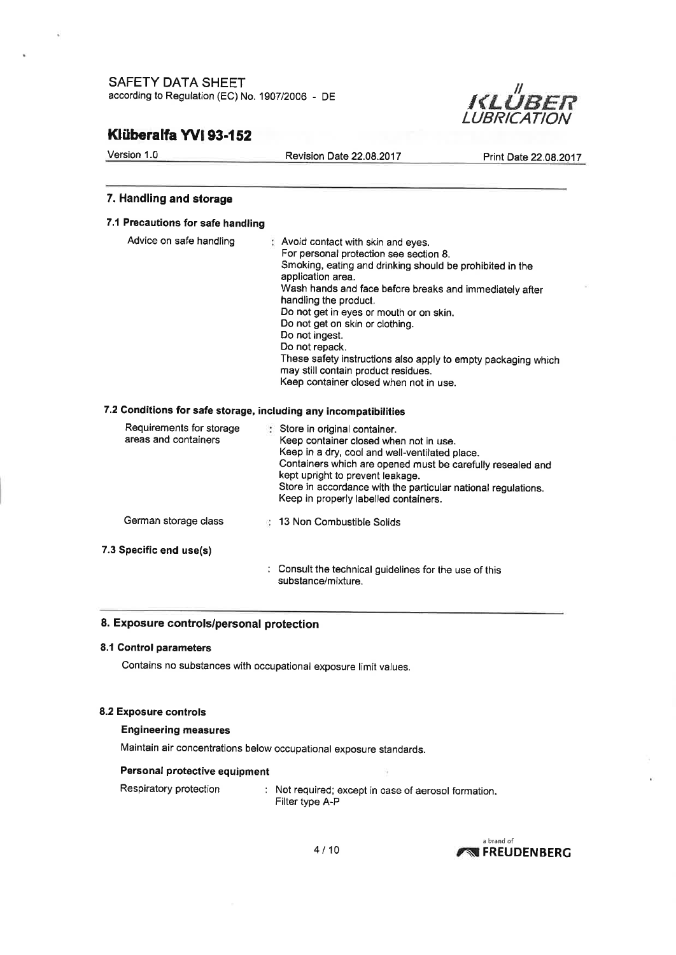

# Klüberalfa YVI 93-152

Version 1.0

| Version 1.0                       | <b>Revision Date 22.08.2017</b>                                                                                                                                                                                                                  | Print Date 22.08.2017 |
|-----------------------------------|--------------------------------------------------------------------------------------------------------------------------------------------------------------------------------------------------------------------------------------------------|-----------------------|
| 7. Handling and storage           |                                                                                                                                                                                                                                                  |                       |
| 7.1 Precautions for safe handling |                                                                                                                                                                                                                                                  |                       |
| Advice on safe handling           | Avoid contact with skin and eyes.<br>For personal protection see section 8.<br>Smoking, eating and drinking should be prohibited in the<br>application area.<br>Wash hands and face before breaks and immediately after<br>handling the product. |                       |

### Do not get in eyes or mouth or on skin.

Do not get on skin or clothing.

Do not repack.

Do not ingest.

These safety instructions also apply to empty packaging which may still contain product residues.

Keep container closed when not in use.

### 7.2 Gonditions for safe storage, including any incompatibilities

| Requirements for storage<br>areas and containers | Store in original container.<br>Keep container closed when not in use.<br>Keep in a dry, cool and well-ventilated place.<br>Containers which are opened must be carefully resealed and<br>kept upright to prevent leakage.<br>Store in accordance with the particular national regulations.<br>Keep in properly labelled containers. |
|--------------------------------------------------|--------------------------------------------------------------------------------------------------------------------------------------------------------------------------------------------------------------------------------------------------------------------------------------------------------------------------------------|
| German storage class                             | 13 Non Combustible Solids                                                                                                                                                                                                                                                                                                            |
| 7.3 Specific end use(s)                          |                                                                                                                                                                                                                                                                                                                                      |
|                                                  | : Consult the technical guidelines for the use of this<br>substance/mixture.                                                                                                                                                                                                                                                         |

#### 8. Exposure controls/personal protection

#### 8.1 Control parameters

Contains no substances with occupational exposure limit values.

#### 8.2 Exposure controls

#### Engineering measures

Maintain air concentrations below occupational exposure standards.

### Personal protective equipment

Respiratory protection : Not required; except in case of aerosol formation. Filter type A-P

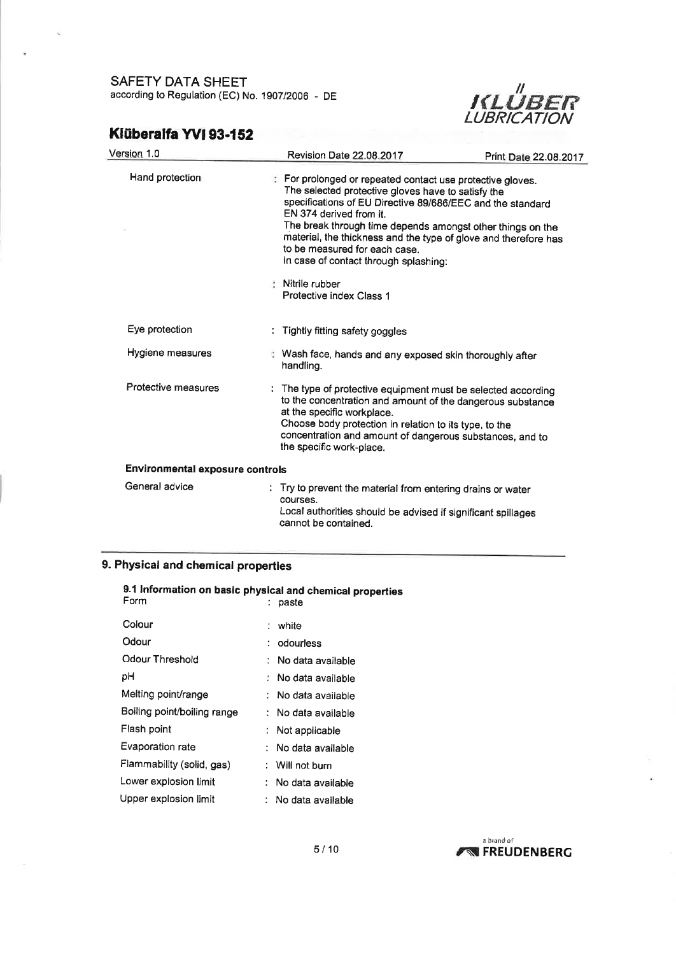

# Klüberalfa Wl 93.152

| Version 1.0                            | Revision Date 22.08.2017                                                                                                                                                                                            | Print Date 22.08.2017                                                                                                                                                                       |
|----------------------------------------|---------------------------------------------------------------------------------------------------------------------------------------------------------------------------------------------------------------------|---------------------------------------------------------------------------------------------------------------------------------------------------------------------------------------------|
| Hand protection                        | For prolonged or repeated contact use protective gloves.<br>The selected protective gloves have to satisfy the<br>EN 374 derived from it.<br>to be measured for each case.<br>In case of contact through splashing: | specifications of EU Directive 89/686/EEC and the standard<br>The break through time depends amongst other things on the<br>material, the thickness and the type of glove and therefore has |
|                                        | : Nitrile rubber<br>Protective index Class 1                                                                                                                                                                        |                                                                                                                                                                                             |
| Eye protection                         | Tightly fitting safety goggles                                                                                                                                                                                      |                                                                                                                                                                                             |
| Hygiene measures                       | Wash face, hands and any exposed skin thoroughly after<br>handling.                                                                                                                                                 |                                                                                                                                                                                             |
| Protective measures                    | at the specific workplace.<br>Choose body protection in relation to its type, to the<br>the specific work-place.                                                                                                    | The type of protective equipment must be selected according<br>to the concentration and amount of the dangerous substance<br>concentration and amount of dangerous substances, and to       |
| <b>Environmental exposure controls</b> |                                                                                                                                                                                                                     |                                                                                                                                                                                             |
| General advice                         | : Try to prevent the material from entering drains or water<br>courses.<br>Local authorities should be advised if significant spillages<br>cannot be contained.                                                     |                                                                                                                                                                                             |

### 9. Physical and chemical properties

| 9.1 Information on basic physical and chemical properties |                        |
|-----------------------------------------------------------|------------------------|
| Form                                                      | paste                  |
| Colour                                                    | white                  |
| Odour                                                     | odourless              |
| Odour Threshold                                           | No data available      |
| pН                                                        | .   No data available. |
| Melting point/range                                       | : No data available    |
| Boiling point/boiling range                               | : No data available    |
| Flash point                                               | : Not applicable       |
| Evaporation rate                                          | No data available      |
| Flammability (solid, gas)                                 | : Will not burn        |
| Lower explosion limit                                     | : No data available    |
| Upper explosion limit                                     | : No data available    |

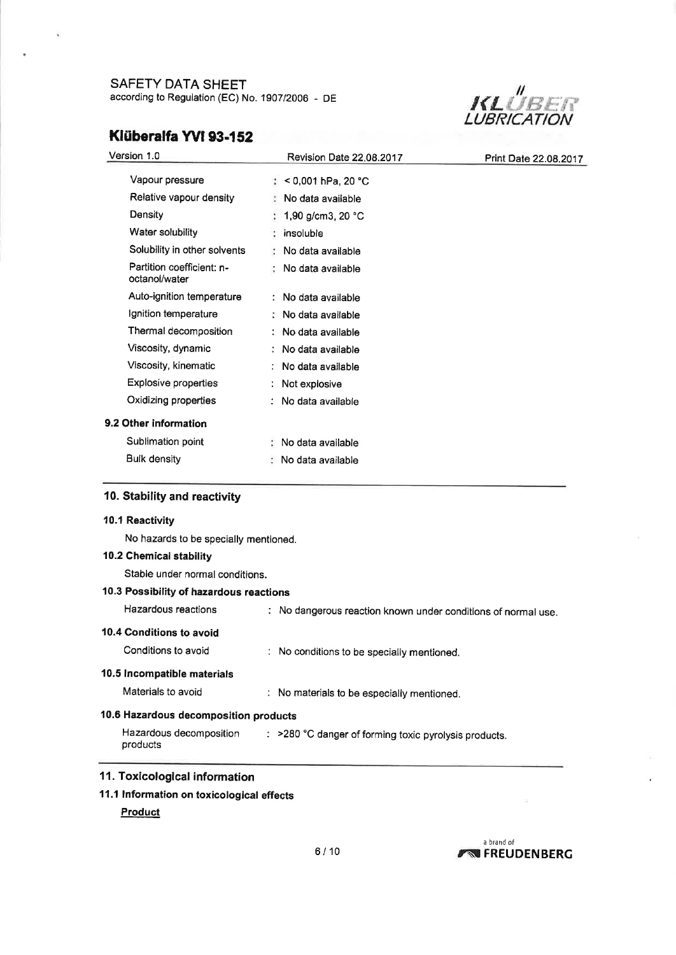

# Klüberalfa YVI 93-152

| Version 1.0                                | Revision Date 22,08,2017     | Print Date 22.08.2017 |
|--------------------------------------------|------------------------------|-----------------------|
| Vapour pressure                            | $\approx$ < 0,001 hPa, 20 °C |                       |
| Relative vapour density                    | No data available            |                       |
| Density                                    | 1,90 g/cm3, 20 °C            |                       |
| Water solubility                           | insoluble                    |                       |
| Solubility in other solvents               | No data available            |                       |
| Partition coefficient: n-<br>octanol/water | No data available            |                       |
| Auto-ignition temperature                  | : No data available          |                       |
| Ignition temperature                       | : No data available          |                       |
| Thermal decomposition                      | : No data available          |                       |
| Viscosity, dynamic                         | No data available            |                       |
| Viscosity, kinematic                       | No data available            |                       |
| <b>Explosive properties</b>                | Not explosive                |                       |
| Oxidizing properties                       | : No data available          |                       |
| 9.2 Other information                      |                              |                       |
| Sublimation point                          | No data available            |                       |
| <b>Bulk density</b>                        | No data available            |                       |
|                                            |                              |                       |

### 10. Stability and reactivity

# 10.1 Reactivity No hazards to be specially mentioned. <sup>1</sup>0.2 Chemical stability Stable under normal conditions. 10.3 Possibility of hazardous reactions Hazardous reactions : No dangerous reaction known under conditions of normal use. 10.4 Conditions to avoid Conditions to avoid : No conditions to be specially mentioned. 10.5 Incompatible materials Materials to avoid : No materials to be especially mentioned. 10.6 Hazardous decomposition products Hazardous decomposition : > 280 °C danger of forming toxic pyrolysis products. products <sup>1</sup>1. Toxicological information

11.1 lnformation on toxicological effects

### **Product**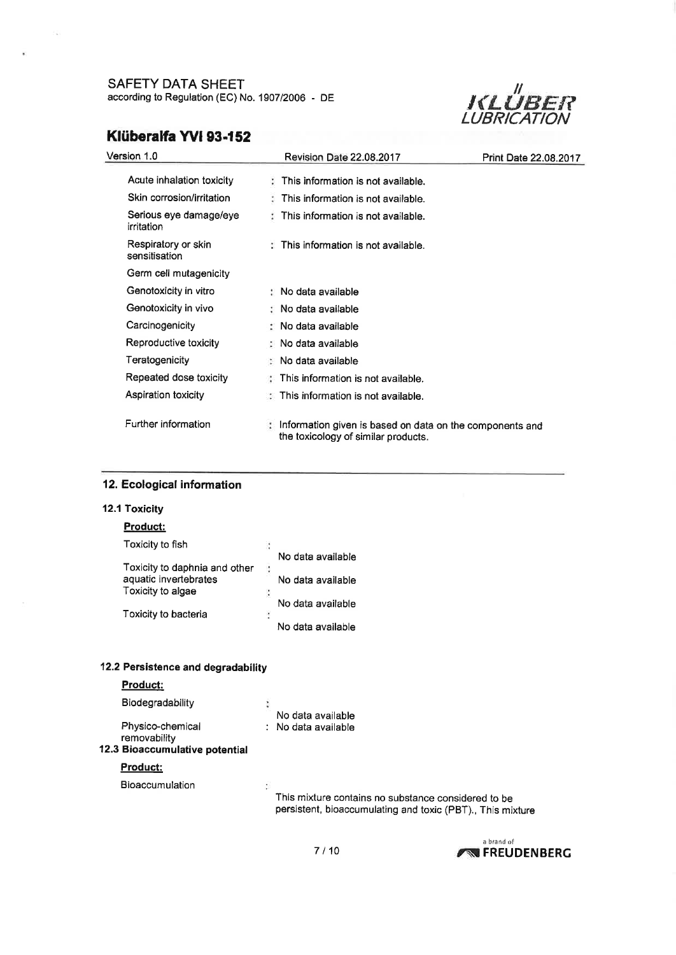

# Klüberalfa YVI 93-152

| Version 1.0                          | Revision Date 22.08.2017                                                                          | Print Date 22.08.2017 |
|--------------------------------------|---------------------------------------------------------------------------------------------------|-----------------------|
| Acute inhalation toxicity            | This information is not available.                                                                |                       |
| Skin corrosion/irritation            | This information is not available.                                                                |                       |
| Serious eye damage/eye<br>irritation | This information is not available.                                                                |                       |
| Respiratory or skin<br>sensitisation | $\pm$ This information is not available.                                                          |                       |
| Germ cell mutagenicity               |                                                                                                   |                       |
| Genotoxicity in vitro                | : No data available                                                                               |                       |
| Genotoxicity in vivo                 | : No data available                                                                               |                       |
| Carcinogenicity                      | ∴ No data available                                                                               |                       |
| Reproductive toxicity                | $\therefore$ No data available                                                                    |                       |
| Teratogenicity                       | : No data available                                                                               |                       |
| Repeated dose toxicity               | This information is not available.                                                                |                       |
| Aspiration toxicity                  | . This information is not available.                                                              |                       |
| Further information                  | : Information given is based on data on the components and<br>the toxicology of similar products. |                       |

### <sup>1</sup>2. Ecological information

### 12.1 Toxicity

### Product:

| Toxicity to fish              |    |                   |
|-------------------------------|----|-------------------|
|                               |    | No data available |
| Toxicity to daphnia and other |    |                   |
| aquatic invertebrates         |    | No data available |
| Toxicity to algae             | î. |                   |
|                               |    | No data available |
| Toxicity to bacteria          | ٠  |                   |
|                               |    | No data available |

### 12.2 Persistence and degradability

### Product:

| Biodegradability |  |
|------------------|--|
|                  |  |

Physico-chemical

No data available : No data available

 $\ddot{\phantom{a}}$ 

#### removability <sup>1</sup>2.3 Bioaccumulative potential

### Product:

Bioaccumulation

This mixture contains no substance considered to be persistent, bioaccumulating and toxic (PBT)., This mixture



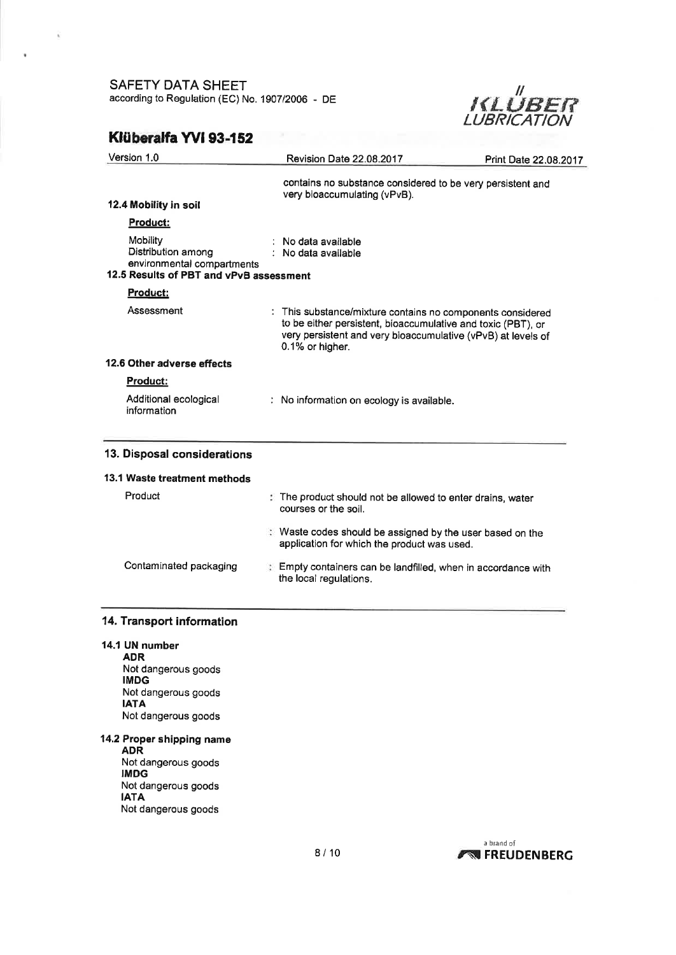

## Klüberalfa YVI 93-152

x

| Revision Date 22.08.2017                                                                                 | Print Date 22.08.2017                                                                                                                                                                      |  |
|----------------------------------------------------------------------------------------------------------|--------------------------------------------------------------------------------------------------------------------------------------------------------------------------------------------|--|
| contains no substance considered to be very persistent and<br>very bioaccumulating (vPvB).               |                                                                                                                                                                                            |  |
|                                                                                                          |                                                                                                                                                                                            |  |
| No data available<br>: No data available                                                                 |                                                                                                                                                                                            |  |
|                                                                                                          |                                                                                                                                                                                            |  |
| 0.1% or higher.                                                                                          | : This substance/mixture contains no components considered<br>to be either persistent, bioaccumulative and toxic (PBT), or<br>very persistent and very bioaccumulative (vPvB) at levels of |  |
|                                                                                                          |                                                                                                                                                                                            |  |
|                                                                                                          |                                                                                                                                                                                            |  |
| : No information on ecology is available.                                                                |                                                                                                                                                                                            |  |
|                                                                                                          |                                                                                                                                                                                            |  |
|                                                                                                          |                                                                                                                                                                                            |  |
| The product should not be allowed to enter drains, water<br>courses or the soil.                         |                                                                                                                                                                                            |  |
| : Waste codes should be assigned by the user based on the<br>application for which the product was used. |                                                                                                                                                                                            |  |
| Empty containers can be landfilled, when in accordance with<br>the local regulations.                    |                                                                                                                                                                                            |  |
|                                                                                                          | environmental compartments<br>12.5 Results of PBT and vPvB assessment                                                                                                                      |  |

### 14. Transport information

14.1 UN number ADR Not dangerous goods IMDG Not dangerous goods IATA Not dangerous goods

14,2 Proper shipping name

ADR Not dangerous goods IMDG Not dangerous goods IATA Not dangerous goods

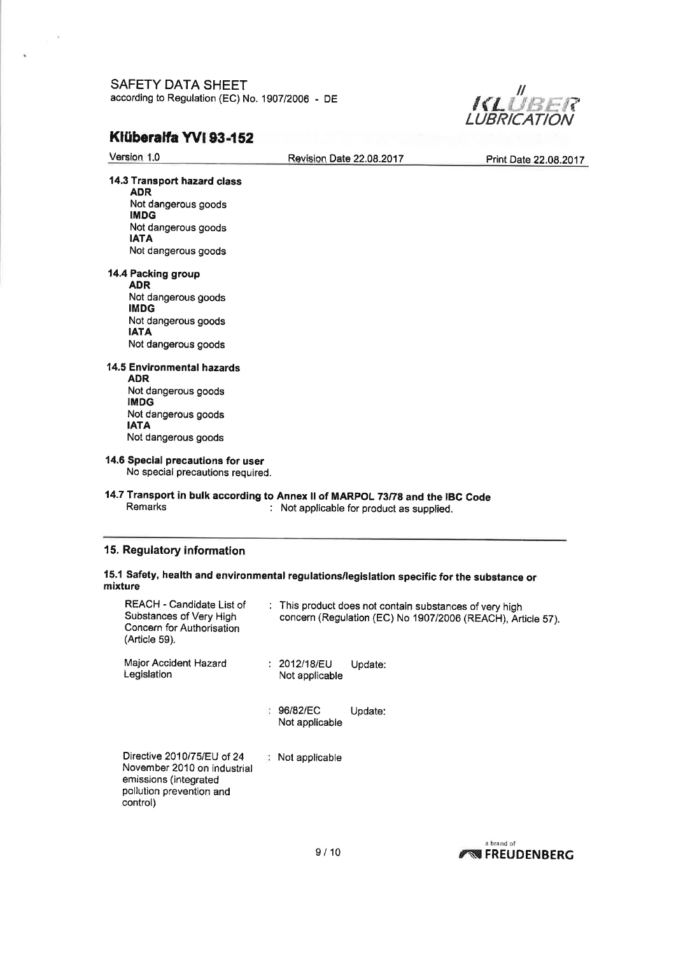

# Klüberalfa YVI 93-152

 $\sim 10^6$ 

 $\hat{\mathbf{z}}$ 

pollution prevention and

control)

| Version 1.0                                                                                        | Revision Date 22.08.2017                                                                                                   | Print Date 22.08.2017 |
|----------------------------------------------------------------------------------------------------|----------------------------------------------------------------------------------------------------------------------------|-----------------------|
| 14.3 Transport hazard class<br><b>ADR</b>                                                          |                                                                                                                            |                       |
| Not dangerous goods<br><b>IMDG</b>                                                                 |                                                                                                                            |                       |
| Not dangerous goods<br><b>IATA</b>                                                                 |                                                                                                                            |                       |
| Not dangerous goods                                                                                |                                                                                                                            |                       |
| 14.4 Packing group<br><b>ADR</b>                                                                   |                                                                                                                            |                       |
| Not dangerous goods<br><b>IMDG</b>                                                                 |                                                                                                                            |                       |
| Not dangerous goods                                                                                |                                                                                                                            |                       |
| <b>IATA</b><br>Not dangerous goods                                                                 |                                                                                                                            |                       |
| <b>14.5 Environmental hazards</b>                                                                  |                                                                                                                            |                       |
| <b>ADR</b><br>Not dangerous goods                                                                  |                                                                                                                            |                       |
| <b>IMDG</b><br>Not dangerous goods                                                                 |                                                                                                                            |                       |
| <b>IATA</b><br>Not dangerous goods                                                                 |                                                                                                                            |                       |
| 14.6 Special precautions for user<br>No special precautions required.                              |                                                                                                                            |                       |
| <b>Remarks</b>                                                                                     | 14.7 Transport in bulk according to Annex II of MARPOL 73/78 and the IBC Code<br>: Not applicable for product as supplied. |                       |
| 15. Regulatory information                                                                         |                                                                                                                            |                       |
| mixture                                                                                            | 15.1 Safety, health and environmental regulations/legislation specific for the substance or                                |                       |
| REACH - Candidate List of<br>Substances of Very High<br>Concern for Authorisation<br>(Article 59). | : This product does not contain substances of very high<br>concern (Regulation (EC) No 1907/2006 (REACH), Article 57).     |                       |
| Major Accident Hazard<br>Legislation                                                               | : 2012/18/EU<br>Update:<br>Not applicable                                                                                  |                       |
|                                                                                                    | : 96/82/EC<br>Update:<br>Not applicable                                                                                    |                       |
| Directive 2010/75/EU of 24<br>November 2010 on industrial                                          | Not applicable<br>÷                                                                                                        |                       |